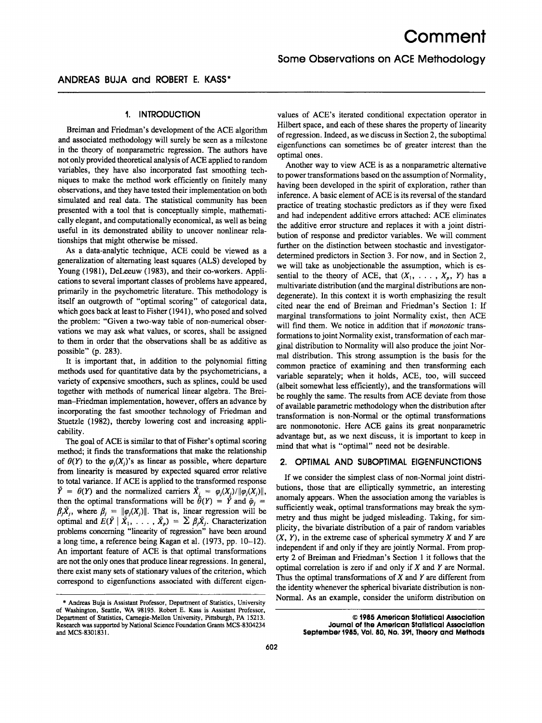# **1. INTRODUCTION**

Breiman and Friedman's development of the ACE algorithm and associated methodology will surely be seen as a milestone in the theory of nonparametric regression. The authors have not only provided theoretical analysis of ACE applied to random variables, they have also incorporated fast smoothing techniques to make the method work efficiently on finitely many observations, and they have tested their implementation on both simulated and real data. The statistical community has been presented with a tool that is conceptually simple, mathematically elegant, and computationally economical, as well as being useful in its demonstrated ability to uncover nonlinear relationships that might otherwise be missed.

As a data-analytic technique, ACE could be viewed as a generalization of alternating least squares (ALS) developed by Young (1981), DeLeeuw (1983), and their co-workers. Applications to several important classes of problems have appeared, primarily in the psychometric literature. This methodology is itself an outgrowth of "optimal scoring" of categorical data, which goes back at least to Fisher (1941), who posed and solved the problem: "Given a two-way table of non-numerical observations we may ask what values, or scores, shall be assigned to them in order that the observations shall be as additive as possible" (p. 283).

It is important that, in addition to the polynomial fitting methods used for quantitative data by the psychometricians, a variety of expensive smoothers, such as splines, could be used together with methods of numerical linear algebra. The Breiman-Friedman implementation, however, offers an advance by incorporating the fast smoother technology of Friedman and Stuetzle (1982), thereby lowering cost and increasing applicability.

The goal of ACE is similar to that of Fisher's optimal scoring method; it finds the transformations that make the relationship of  $\theta(Y)$  to the  $\varphi_i(X_i)$ 's as linear as possible, where departure from linearity is measured by expected squared error relative to total variance. If ACE is applied to the transformed response  $\tilde{Y} = \theta(Y)$  and the normalized carriers  $\tilde{X}_i = \varphi_i(X_i) / ||\varphi_i(X_i)||$ , then the optimal transformations will be  $\bar{\theta}(Y) = \bar{Y}$  and  $\bar{\varphi}_i =$  $\beta_j \bar{X}_j$ , where  $\beta_j = ||\varphi_j(X_j)||$ . That is, linear regression will be optimal and  $E(\tilde{Y} | \tilde{X}_1, \ldots, \tilde{X}_p) = \sum \beta_j \tilde{X}_j$ . Characterization problems concerning "linearity of regression" have been around a long time, a reference being Kagan et al. (1973, pp. 10-12). An important feature of ACE is that optimal transformations are not the only ones that produce linear regressions. In general, there exist many sets of stationary values of the criterion, which correspond to eigenfunctions associated with different eigenvalues of ACE'S iterated conditional expectation operator in Hilbert space, and each of these shares the property of linearity of regression. Indeed, as we discuss in Section 2, the suboptimal eigenfunctions can sometimes be of greater interest than the optimal ones.

Another way to view ACE is as a nonparametric alternative to power transformations based on the assumption of Normality, having been developed in the spirit of exploration, rather than inference. A basic element of ACE is its reversal of the standard practice of treating stochastic predictors as if they were fixed and had independent additive errors attached: ACE eliminates the additive error structure and replaces it with a joint distribution of response and predictor variables. We will comment further on the distinction between stochastic and investigatordetermined predictors in Section 3. For now, and in Section 2, we will take as unobjectionable the assumption, which is essential to the theory of ACE, that  $(X_1, \ldots, X_p, Y)$  has a multivariate distribution (and the marginal distributions are nondegenerate). In this context it is worth emphasizing the result cited near the end of Breiman and Friedman's Section 1: If marginal transformations to joint Normality exist, then ACE will find them. We notice in addition that if *monotonic* transformations to joint Normality exist, transformation of each marginal distribution to Normality will also produce the joint Normal distribution. This strong assumption is the basis for the common practice of examining and then transforming each variable separately; when it holds, ACE, too, will succeed (albeit somewhat less efficiently), and the transformations will be roughly the same. The results from ACE deviate from those of available parametric methodology when the distribution after transformation is non-Normal or the optimal transformations **are** nonmonotonic. Here ACE gains its great nonparametric advantage but, as we next discuss, it is important to keep in mind that what is "optimal" need not be desirable.

#### **2. OPTIMAL AND SUBOPTIMAL EIGENFUNCTIONS**

If we consider the simplest class of non-Normal joint distributions, those that are elliptically symmetric, an interesting anomaly appears. When the association among the variables is sufficiently weak, optimal transformations may break the symmetry and thus might be judged misleading. Taking, for simplicity, the bivariate distribution of a pair of random variables *(X, Y),* in the extreme case of spherical symmetry *X* and *Y* are independent if and only if they are jointly Normal. From property 2 of Breiman and Friedman's Section 1 it follows that the optimal correlation is zero if and only if *X* and *Y* are Normal. Thus the optimal transformations of *X* and *Y* are different from the identity whenever the spherical bivariate distribution is non-Normal. As an example, consider the uniform distribution on

<sup>\*</sup> **Andreas Buja is Assistant Professor, Department of Statistics, University of Washington, Seattle, WA 98195. Robert E. Kass is Assistant Professor, Department of Statistics, Camegie-Mellon University, Pittsburgh, PA 15213. Research was supported by National Science Foundation Grants MCS-8304234 and MCS-830183** 1.

*<sup>0</sup>* **1985 American Statistical Association Journal of the American Statistical Association September 1985, Voi. 80, No. 391, Theory and Methods**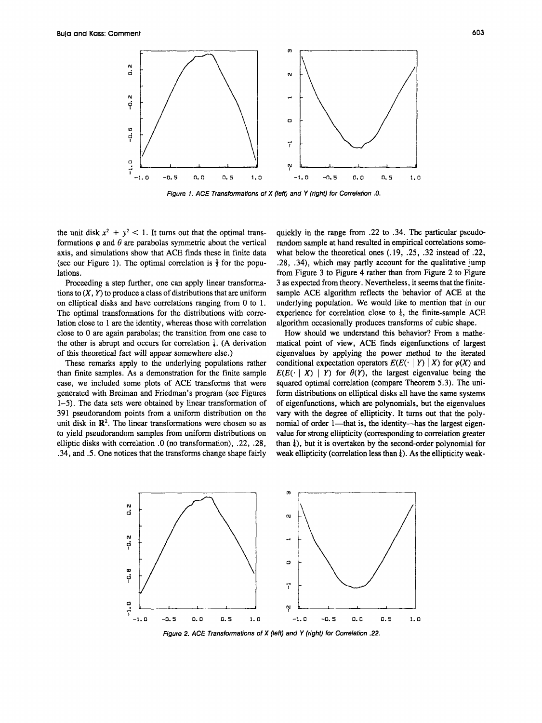

*Figure 7. ACE Transformations of X (left) and Y (right) for Correlation .O.* 

the unit disk  $x^2 + y^2 < 1$ . It turns out that the optimal transformations  $\varphi$  and  $\theta$  are parabolas symmetric about the vertical axis, and simulations show that **ACE** finds these in finite data (see our Figure 1). The optimal correlation is  $\frac{1}{3}$  for the populations.

Proceeding a step further, one can apply linear transformations to  $(X, Y)$  to produce a class of distributions that are uniform on elliptical disks and have correlations ranging from 0 to 1. The optimal transformations for the distributions with correlation close to 1 are the identity, whereas those with correlation close to 0 are again parabolas; the transition from one case to the other is abrupt and occurs for correlation  $\frac{1}{4}$ . (A derivation of this theoretical fact will appear somewhere else.)

These remarks apply to the underlying populations rather than finite samples. **As** a demonstration for the finite sample case, we included some plots of **ACE** transforms that were generated with Breiman and Friedman's program (see Figures 1-5). The data sets were obtained by linear transformation of 391 pseudorandom points from a uniform distribution **on** the unit disk in  $\mathbb{R}^2$ . The linear transformations were chosen so as to yield pseudorandom samples from uniform distributions **on**  elliptic disks with correlation *.O* **(no** transformation), .22, .28, .34, and *.5.* One notices that the transforms change shape fairly

quickly in the range from .22 to .34. The particular pseudorandom sample at hand resulted in empirical correlations somewhat below the theoretical ones (.19, .25, .32 instead of .22, .28, .34), which may partly account for the qualitative jump from Figure 3 to Figure 4 rather than from Figure 2 to Figure 3 as expected from theory. Nevertheless, it seems that the finitesample **ACE** algorithm reflects the behavior of **ACE** at the underlying population. We would like to mention that in our experience for correlation close to  $\frac{1}{4}$ , the finite-sample ACE algorithm occasionally produces transforms of cubic shape.

How should we understand this behavior? From a mathematical point of view, **ACE** finds eigenfunctions of largest eigenvalues by applying the power method to the iterated conditional expectation operators  $E(E(\cdot | Y) | X)$  for  $\varphi(X)$  and  $E(E(\cdot | X) | Y)$  for  $\theta(Y)$ , the largest eigenvalue being the squared optimal correlation (compare Theorem 5.3). The uniform distributions on elliptical disks all have the same systems of eigenfunctions, which are polynomials, but the eigenvalues vary with the degree of ellipticity. It turns out that the polynomial of order 1—that is, the identity—has the largest eigenvalue for strong ellipticity (corresponding to correlation greater than  $\frac{1}{4}$ ), but it is overtaken by the second-order polynomial for weak ellipticity (correlation less than 4). **As** the ellipticity weak-



Figure 2. ACE Transformations of X (left) and Y (right) for Correlation **22**.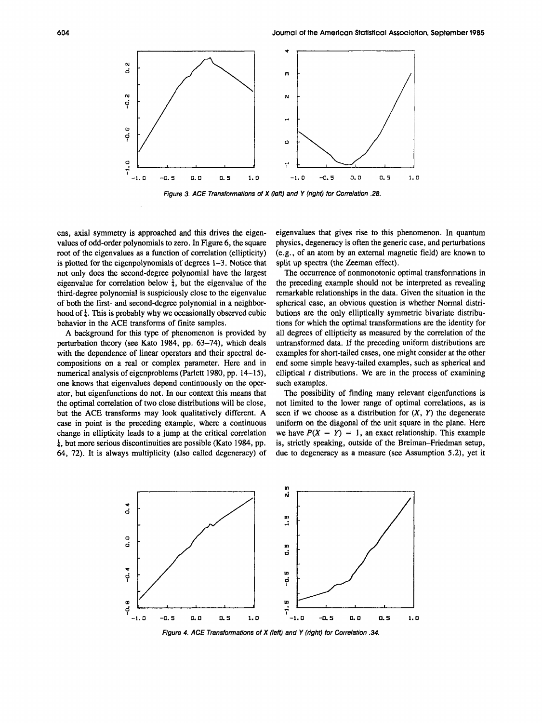

*Figure 3. ACE Transtormations of X (left) and Y (right) for Correlation* **.28.** 

ens, axial symmetry is approached and this drives the eigenvalues of odd-order polynomials to zero. In Figure 6, the square root of the eigenvalues as a function of correlation (ellipticity) is plotted for the eigenpolynomials of degrees 1-3. Notice that not only does the second-degree polynomial have the largest eigenvalue for correlation below  $\frac{1}{4}$ , but the eigenvalue of the third-degree polynomial is suspiciously close to the eigenvalue of both the first- and second-degree polynomial in a neighborhood of  $\frac{1}{4}$ . This is probably why we occasionally observed cubic behavior in the ACE transforms of finite samples.

A background for this type of phenomenon is provided by perturbation theory (see Kato 1984, pp. 63-74), which deals with the dependence of linear operators and their spectral decompositions on a real or complex parameter. Here and in numerical analysis of eigenproblems (Parlett 1980, pp. 14–15), one knows that eigenvalues depend continuously on the operator, but eigenfunctions do not. In our context this means that the optimal correlation of two close distributions will be close, but the ACE transforms may look qualitatively different. A case in point is the preceding example, where a continuous change in ellipticity leads to a jump at the critical correlation 4, but more serious discontinuities are possible (Kato 1984, pp. *64,* 72). It is always multiplicity (also called degeneracy) of eigenvalues that gives rise to this phenomenon. In quantum physics, degeneracy is often the generic case, and perturbations (e.g., of an atom by an external magnetic field) are known to split up spectra (the Zeeman effect).

The occurrence of nonmonotonic optimal transformations in the preceding example should not be interpreted as revealing remarkable relationships in the data. Given the situation in the spherical case, an obvious question is whether Normal distributions are the only elliptically symmetric bivariate distributions for which the optimal transformations are the identity for all degrees of ellipticity as measured by the correlation of the untransformed data. If the preceding uniform distributions are examples for short-tailed cases, one might consider at the other end some simple heavy-tailed examples, such as spherical and elliptical *t* distributions. We are in the process of examining such examples.

The possibility of finding many relevant eigenfunctions is not limited to the lower range of optimal correlations, as is seen if we choose as a distribution for  $(X, Y)$  the degenerate uniform on the diagonal of the unit square in the plane. Here we have  $P(X = Y) = 1$ , an exact relationship. This example is, strictly speaking, outside of the Breiman-Friedman setup, due to degeneracy as a measure (see Assumption 5.2), yet it



*Figure 4. ACE Transformations of X (left) and Y (right) for Correlation .34.*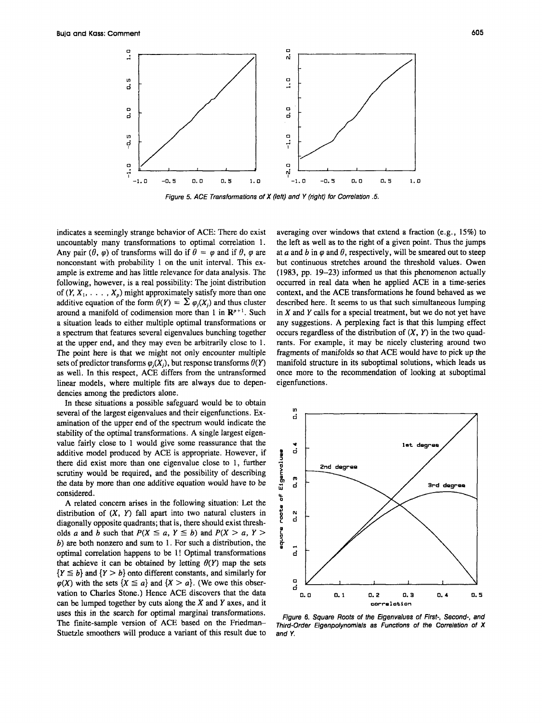

*Figure 5. ACE Transformations of X (left) and Y (right) for Correlation .5.* 

indicates a seemingly strange behavior of ACE: There do exist uncountably many transformations to optimal correlation 1. Any pair  $(\theta, \varphi)$  of transforms will do if  $\theta = \varphi$  and if  $\theta$ ,  $\varphi$  are nonconstant with probability 1 on the unit interval. This example is extreme and has little relevance for data analysis. The following, however, is a real possibility: The joint distribution of  $(Y, X_1, \ldots, X_p)$  might approximately satisfy more than one additive equation of the form  $\theta(Y) = \sum \varphi_i(X)$  and thus cluster around a manifold of codimension more than 1 in  $\mathbb{R}^{p+1}$ . Such a situation leads to either multiple optimal transformations or a spectrum that features several eigenvalues bunching together at the upper end, and they may even be arbitrarily close to 1. The point here is that we might not only encounter multiple sets of predictor transforms  $\varphi_i(X_i)$ , but response transforms  $\theta(Y)$ as well. In this respect, ACE differs from the untransformed linear models, where multiple fits are always due to dependencies among the predictors alone.

In these situations a possible safeguard would be to obtain several of the largest eigenvalues and their eigenfunctions. Examination of the upper end of the spectrum would indicate the stability of the optimal transformations. A single largest eigenvalue fairly close to 1 would give some reassurance that the additive model produced by ACE is appropriate. However, if there did exist more than one eigenvalue close to 1, further scrutiny would be required, and the possibility of describing the data by more than one additive equation would have to be considered.

A related concern arises in the following situation: Let the distribution of  $(X, Y)$  fall apart into two natural clusters in diagonally opposite quadrants; that is, there should exist thresholds *a* and *b* such that  $P(X \le a, Y \le b)$  and  $P(X > a, Y > b)$ b) **are** both nonzero and sum to 1. For such a distribution, the optimal correlation happens to be 1! Optimal transformations that achieve it can be obtained by letting  $\theta(Y)$  map the sets  ${Y \leq b}$  and  ${Y > b}$  onto different constants, and similarly for  $\varphi(X)$  with the sets  $\{X \leq a\}$  and  $\{X > a\}$ . (We owe this observation to Charles Stone.) Hence ACE discovers that the data can be lumped together by cuts along the *X* and *Y* axes, and it uses this in the search for optimal marginal transformations. The finite-sample version of ACE based on the Friedman-Stuetzle smoothers will produce a variant of this result due to

averaging over windows that extend a fraction (e.g., 15%) to the left as well as to the right of a given point. Thus the jumps at *a* and *b* in  $\varphi$  and  $\theta$ , respectively, will be smeared out to steep but continuous stretches around the threshold values. Owen (1983, pp. 19-23) informed us that this phenomenon actually occurred in real data when he applied ACE in a time-series context, and the ACE transformations he found behaved as we described here. It seems to us that such simultaneous lumping in *X* and *Y* calls for a special treatment, but we do not yet have any suggestions. **A** perplexing fact is that this lumping effect occurs regardless of the distribution of  $(X, Y)$  in the two quadrants. For example, it may be nicely clustering around two fragments of manifolds so that ACE would have to pick up the manifold structure in its suboptimal solutions, which leads us once more to the recommendation of looking at suboptimal eigenfunctions.



*Figure* **8.** *Square Roots of the Eigenvalues of First-, Second-, and Third-Order Eigenpolynomials as Functions of the Correlation of X and Y.*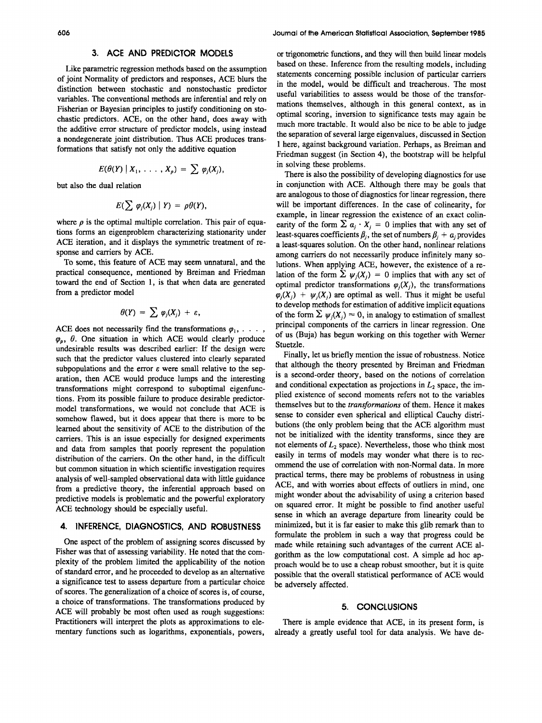Like parametric regression methods based on the assumption of joint Normality of predictors and responses, **ACE** blurs the distinction between stochastic and nonstochastic predictor variables. The conventional methods are inferential and rely on Fisherian or Bayesian principles to justify conditioning on stochastic predictors. **ACE,** on the other hand, does away with the additive error structure of predictor models, using instead a nondegenerate joint distribution. Thus **ACE** produces transformations that satisfy not only the additive equation

$$
E(\theta(Y) | X_1, \ldots, X_p) = \sum \varphi_j(X_j),
$$

but also the dual relation

$$
E(\sum \varphi_i(X_i) \mid Y) = \rho \theta(Y),
$$

where  $\rho$  is the optimal multiple correlation. This pair of equations forms an eigenproblem characterizing stationarity under **ACE** iteration, and it displays the symmetric treatment of response and carriers by **ACE.** 

To some, this feature of **ACE** may seem unnatural, and the practical consequence, mentioned by Breiman and Friedman toward the end of Section **1,** is that when data are generated from a predictor model

$$
\theta(Y) = \sum \varphi_j(X_j) + \varepsilon
$$

ACE does not necessarily find the transformations  $\varphi_1, \ldots, \varphi_n$  $\varphi$ <sub>p</sub>,  $\theta$ . One situation in which ACE would clearly produce undesirable results was described earlier: If the design were such that the predictor values clustered into clearly separated subpopulations and the error  $\varepsilon$  were small relative to the separation, then **ACE** would produce lumps and the interesting transformations might correspond to suboptimal eigenfunctions. From its possible failure to produce desirable predictormodel transformations, we would not conclude that **ACE** is somehow flawed, but it does appear that there is more to be learned about the sensitivity of **ACE** to the distribution of the carriers. This is an issue especially for designed experiments and data from samples that poorly represent the population distribution of the carriers. On the other hand, in the difficult but common situation in which scientific investigation requires analysis of well-sampled observational data with little guidance from a predictive theory, the inferential approach based on predictive models is problematic and the powerful exploratory **ACE** technology should be especially useful.

### **4. INFERENCE, DIAGNOSTICS, AND ROBUSTNESS**

One aspect of the problem of assigning scores discussed by Fisher was that of assessing variability. He noted that the complexity of the problem limited the applicability of the notion of standard error, and he proceeded to develop as **an** alternative a significance test to assess departure from a particular choice of scores. The generalization of a choice of scores is, of course, a choice of transformations. The transformations produced by **ACE** will probably be most often used as rough suggestions: Practitioners will interpret the plots as approximations to elementary functions such as logarithms, exponentials, powers,

**3. ACE AND PREDICTOR MODELS** *or* trigonometric functions, and they will then build linear models based on these. Inference from the resulting models, including statements concerning possible inclusion of particular carriers in the model, would be difficult and treacherous. The most useful variabilities to assess would be those of the transformations themselves, although in this general context, **as** in optimal scoring, inversion to significance tests may again be much more tractable. It would also be nice to be able to judge the separation of several large eigenvalues, discussed in Section **1** here, against background variation. Perhaps, as Breiman and Friedman suggest (in Section **4),** the bootstrap will be helpful in solving these problems.

> There is also the possibility of developing diagnostics for use in conjunction with **ACE.** Although there may be goals that are analogous to those of diagnostics for linear regression, there will be important differences. In the case of colinearity, for example, in linear regression the existence of an exact colinearity of the form  $\sum a_j \cdot X_j = 0$  implies that with any set of least-squares coefficients  $\beta_j$ , the set of numbers  $\beta_j + a_j$  provides a least-squares solution. On the other hand, nonlinear relations among carriers do not necessarily produce infinitely many solutions. When applying **ACE,** however, the existence of a relation of the form  $\sum \psi_i(X_i) = 0$  implies that with any set of optimal predictor transformations  $\varphi_i(X_i)$ , the transformations  $\varphi_i(X_i) + \psi_i(X_i)$  are optimal as well. Thus it might be useful to develop methods for estimation of additive implicit equations of the form  $\sum \psi_j(X_j) \approx 0$ , in analogy to estimation of smallest principal components of the carriers in linear regression. One of us (Buja) has begun working on this together with Werner Stuetzle.

> Finally, let us briefly mention the issue of robustness. Notice that although the theory presented by Breiman and Friedman is a second-order theory, based on the notions of correlation and conditional expectation as projections in  $L_2$  space, the implied existence of second moments refers not to the variables themselves but to the *transformations* of them. Hence it makes sense to consider even spherical and elliptical Cauchy distributions (the only problem being that the **ACE** algorithm must not be initialized with the identity transforms, since they are not elements of  $L_2$  space). Nevertheless, those who think most easily in terms of models may wonder what there is to recommend the use of correlation with non-Normal data. In more practical terms, there may be problems of robustness in using **ACE,** and with worries about effects of outliers in mind, one might wonder about the advisability of using a criterion based on squared error. It might be possible to find another useful sense in which an average departure from linearity could be minimized, but it is far easier to make this glib remark than to formulate the problem in such a way that progress could be made while retaining such advantages of the current **ACE** algorithm as the low computational cost. **A** simple ad hoc approach would be to use a cheap robust smoother, but it is quite possible that the overall statistical performance of **ACE** would be adversely affected.

### **5. CONCLUSIONS**

There is ample evidence that **ACE,** in its present form, is already a greatly useful tool for data analysis. We have de